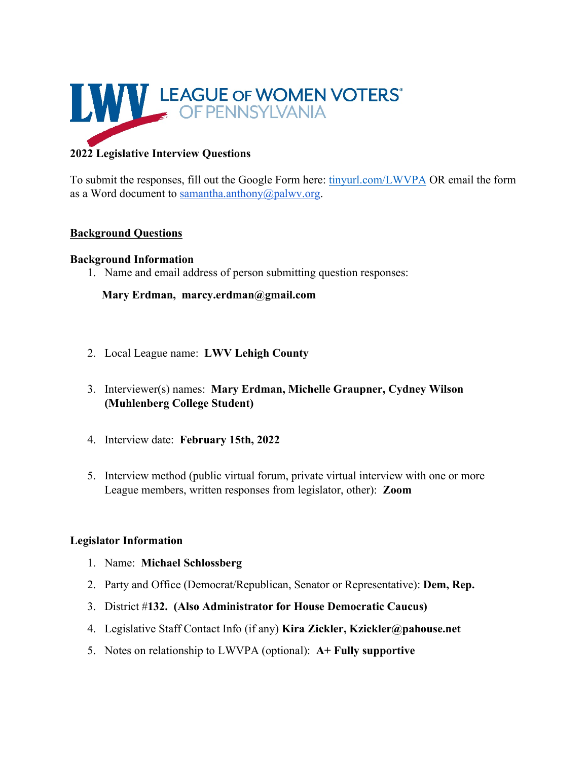

# **2022 Legislative Interview Questions**

To submit the responses, fill out the Google Form here: tinyurl.com/LWVPA OR email the form as a Word document to samantha.anthony@palwv.org.

### **Background Questions**

### **Background Information**

1. Name and email address of person submitting question responses:

# **Mary Erdman, marcy.erdman@gmail.com**

- 2. Local League name: **LWV Lehigh County**
- 3. Interviewer(s) names: **Mary Erdman, Michelle Graupner, Cydney Wilson (Muhlenberg College Student)**
- 4. Interview date: **February 15th, 2022**
- 5. Interview method (public virtual forum, private virtual interview with one or more League members, written responses from legislator, other): **Zoom**

#### **Legislator Information**

- 1. Name: **Michael Schlossberg**
- 2. Party and Office (Democrat/Republican, Senator or Representative): **Dem, Rep.**
- 3. District #**132. (Also Administrator for House Democratic Caucus)**
- 4. Legislative Staff Contact Info (if any) **Kira Zickler, Kzickler@pahouse.net**
- 5. Notes on relationship to LWVPA (optional): **A+ Fully supportive**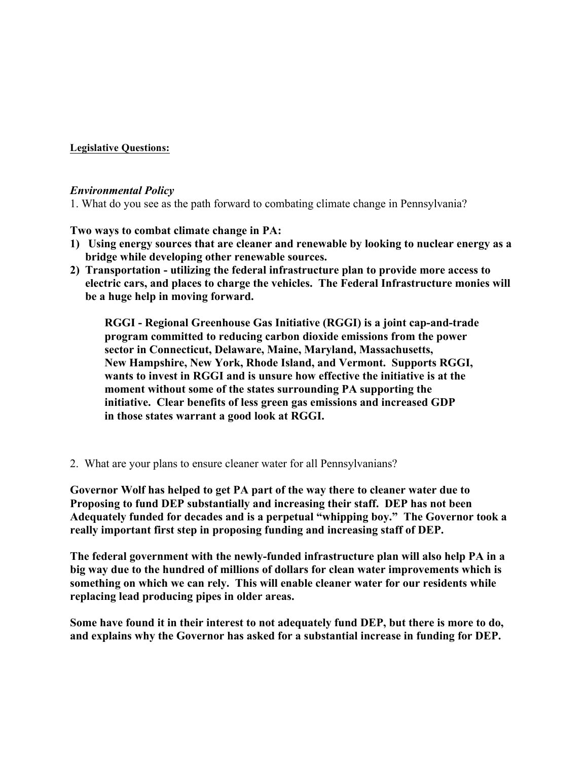**Legislative Questions:**

#### *Environmental Policy*

1. What do you see as the path forward to combating climate change in Pennsylvania?

**Two ways to combat climate change in PA:**

- **1) Using energy sources that are cleaner and renewable by looking to nuclear energy as a bridge while developing other renewable sources.**
- **2) Transportation - utilizing the federal infrastructure plan to provide more access to electric cars, and places to charge the vehicles. The Federal Infrastructure monies will be a huge help in moving forward.**

**RGGI - Regional Greenhouse Gas Initiative (RGGI) is a joint cap-and-trade program committed to reducing carbon dioxide emissions from the power sector in Connecticut, Delaware, Maine, Maryland, Massachusetts, New Hampshire, New York, Rhode Island, and Vermont. Supports RGGI, wants to invest in RGGI and is unsure how effective the initiative is at the moment without some of the states surrounding PA supporting the initiative. Clear benefits of less green gas emissions and increased GDP in those states warrant a good look at RGGI.**

2. What are your plans to ensure cleaner water for all Pennsylvanians?

**Governor Wolf has helped to get PA part of the way there to cleaner water due to Proposing to fund DEP substantially and increasing their staff. DEP has not been Adequately funded for decades and is a perpetual "whipping boy." The Governor took a really important first step in proposing funding and increasing staff of DEP.**

**The federal government with the newly-funded infrastructure plan will also help PA in a big way due to the hundred of millions of dollars for clean water improvements which is something on which we can rely. This will enable cleaner water for our residents while replacing lead producing pipes in older areas.**

**Some have found it in their interest to not adequately fund DEP, but there is more to do, and explains why the Governor has asked for a substantial increase in funding for DEP.**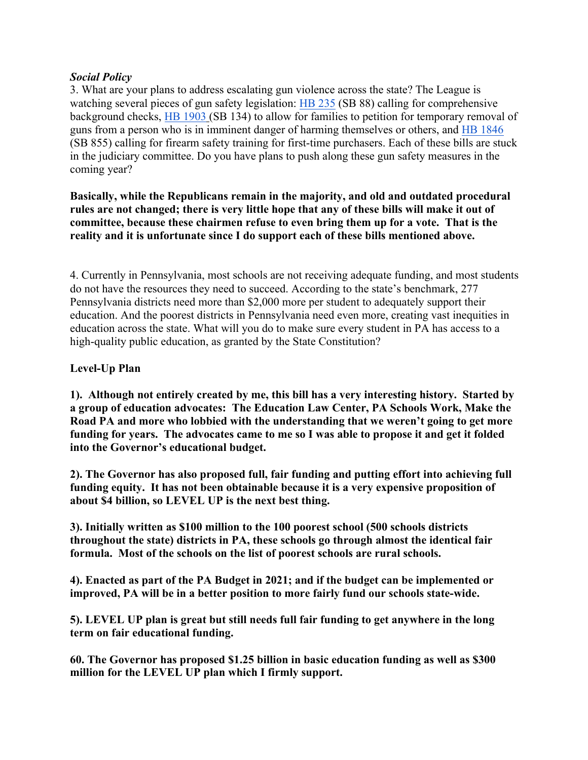## *Social Policy*

3. What are your plans to address escalating gun violence across the state? The League is watching several pieces of gun safety legislation: HB 235 (SB 88) calling for comprehensive background checks, HB 1903 (SB 134) to allow for families to petition for temporary removal of guns from a person who is in imminent danger of harming themselves or others, and HB 1846 (SB 855) calling for firearm safety training for first-time purchasers. Each of these bills are stuck in the judiciary committee. Do you have plans to push along these gun safety measures in the coming year?

**Basically, while the Republicans remain in the majority, and old and outdated procedural** rules are not changed; there is very little hope that any of these bills will make it out of **committee, because these chairmen refuse to even bring them up for a vote. That is the reality and it is unfortunate since I do support each of these bills mentioned above.**

4. Currently in Pennsylvania, most schools are not receiving adequate funding, and most students do not have the resources they need to succeed. According to the state's benchmark, 277 Pennsylvania districts need more than \$2,000 more per student to adequately support their education. And the poorest districts in Pennsylvania need even more, creating vast inequities in education across the state. What will you do to make sure every student in PA has access to a high-quality public education, as granted by the State Constitution?

## **Level-Up Plan**

**1). Although not entirely created by me, this bill has a very interesting history. Started by a group of education advocates: The Education Law Center, PA Schools Work, Make the Road PA and more who lobbied with the understanding that we weren't going to get more funding for years. The advocates came to me so I was able to propose it and get it folded into the Governor's educational budget.**

**2). The Governor has also proposed full, fair funding and putting effort into achieving full funding equity. It has not been obtainable because it is a very expensive proposition of about \$4 billion, so LEVEL UP is the next best thing.**

**3). Initially written as \$100 million to the 100 poorest school (500 schools districts throughout the state) districts in PA, these schools go through almost the identical fair formula. Most of the schools on the list of poorest schools are rural schools.**

**4). Enacted as part of the PA Budget in 2021; and if the budget can be implemented or improved, PA will be in a better position to more fairly fund our schools state-wide.**

**5). LEVEL UP plan is great but still needs full fair funding to get anywhere in the long term on fair educational funding.**

**60. The Governor has proposed \$1.25 billion in basic education funding as well as \$300 million for the LEVEL UP plan which I firmly support.**